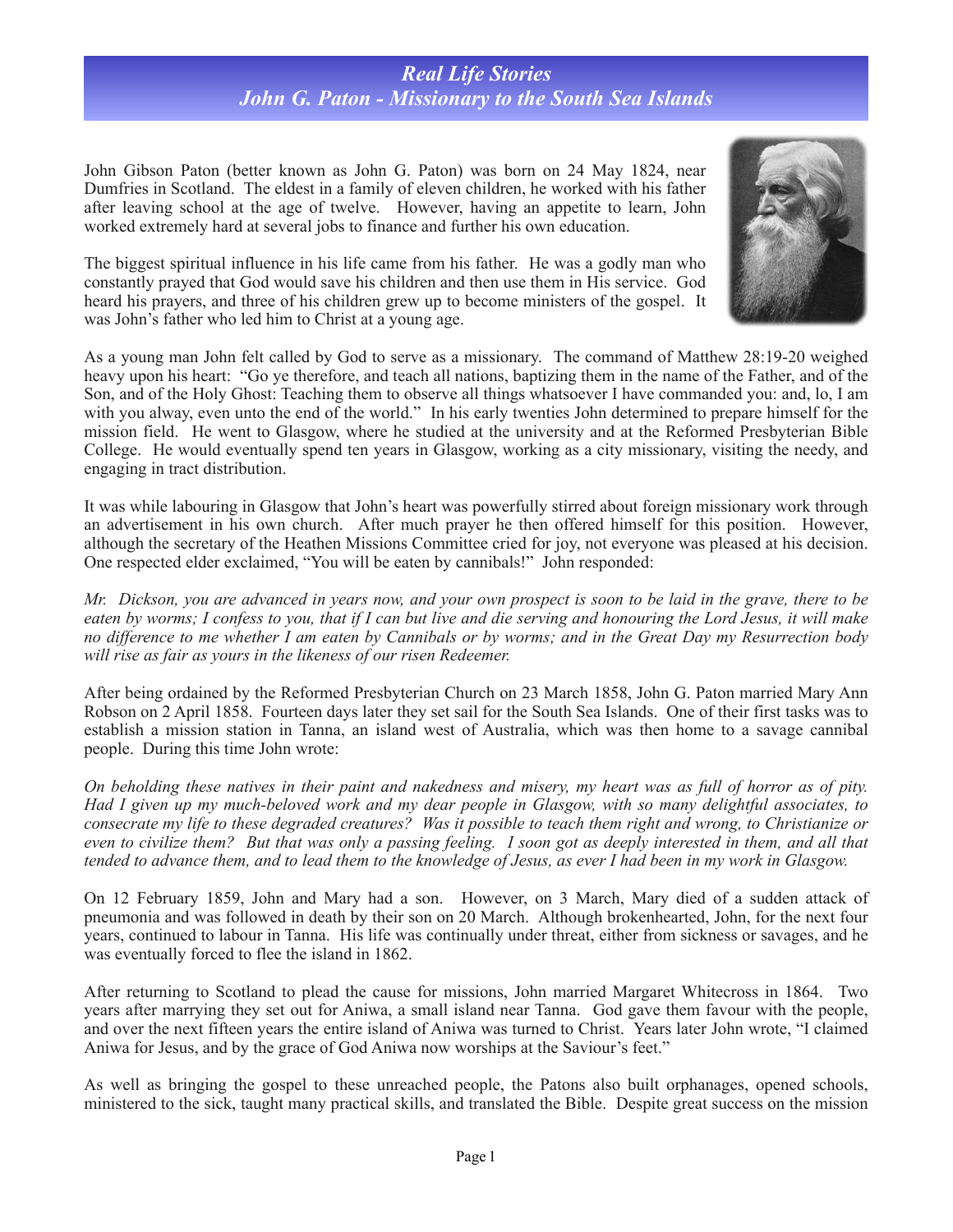## *Real Life Stories John G. Paton - Missionary to the South Sea Islands*

John Gibson Paton (better known as John G. Paton) was born on 24 May 1824, near Dumfries in Scotland. The eldest in a family of eleven children, he worked with his father after leaving school at the age of twelve. However, having an appetite to learn, John worked extremely hard at several jobs to finance and further his own education.

The biggest spiritual influence in his life came from his father. He was a godly man who constantly prayed that God would save his children and then use them in His service. God heard his prayers, and three of his children grew up to become ministers of the gospel. It was John's father who led him to Christ at a young age.



As a young man John felt called by God to serve as a missionary. The command of Matthew 28:19-20 weighed heavy upon his heart: "Go ye therefore, and teach all nations, baptizing them in the name of the Father, and of the Son, and of the Holy Ghost: Teaching them to observe all things whatsoever I have commanded you: and, lo, I am with you alway, even unto the end of the world." In his early twenties John determined to prepare himself for the mission field. He went to Glasgow, where he studied at the university and at the Reformed Presbyterian Bible College. He would eventually spend ten years in Glasgow, working as a city missionary, visiting the needy, and engaging in tract distribution.

It was while labouring in Glasgow that John's heart was powerfully stirred about foreign missionary work through an advertisement in his own church. After much prayer he then offered himself for this position. However, although the secretary of the Heathen Missions Committee cried for joy, not everyone was pleased at his decision. One respected elder exclaimed, "You will be eaten by cannibals!" John responded:

*Mr. Dickson, you are advanced in years now, and your own prospect is soon to be laid in the grave, there to be eaten by worms; I confess to you, that if I can but live and die serving and honouring the Lord Jesus, it will make no difference to me whether I am eaten by Cannibals or by worms; and in the Great Day my Resurrection body will rise as fair as yours in the likeness of our risen Redeemer.* 

After being ordained by the Reformed Presbyterian Church on 23 March 1858, John G. Paton married Mary Ann Robson on 2 April 1858. Fourteen days later they set sail for the South Sea Islands. One of their first tasks was to establish a mission station in Tanna, an island west of Australia, which was then home to a savage cannibal people. During this time John wrote:

*On beholding these natives in their paint and nakedness and misery, my heart was as full of horror as of pity. Had I given up my much-beloved work and my dear people in Glasgow, with so many delightful associates, to consecrate my life to these degraded creatures? Was it possible to teach them right and wrong, to Christianize or even to civilize them? But that was only a passing feeling. I soon got as deeply interested in them, and all that tended to advance them, and to lead them to the knowledge of Jesus, as ever I had been in my work in Glasgow.* 

On 12 February 1859, John and Mary had a son. However, on 3 March, Mary died of a sudden attack of pneumonia and was followed in death by their son on 20 March. Although brokenhearted, John, for the next four years, continued to labour in Tanna. His life was continually under threat, either from sickness or savages, and he was eventually forced to flee the island in 1862.

After returning to Scotland to plead the cause for missions, John married Margaret Whitecross in 1864. Two years after marrying they set out for Aniwa, a small island near Tanna. God gave them favour with the people, and over the next fifteen years the entire island of Aniwa was turned to Christ. Years later John wrote, "I claimed Aniwa for Jesus, and by the grace of God Aniwa now worships at the Saviour's feet."

As well as bringing the gospel to these unreached people, the Patons also built orphanages, opened schools, ministered to the sick, taught many practical skills, and translated the Bible. Despite great success on the mission